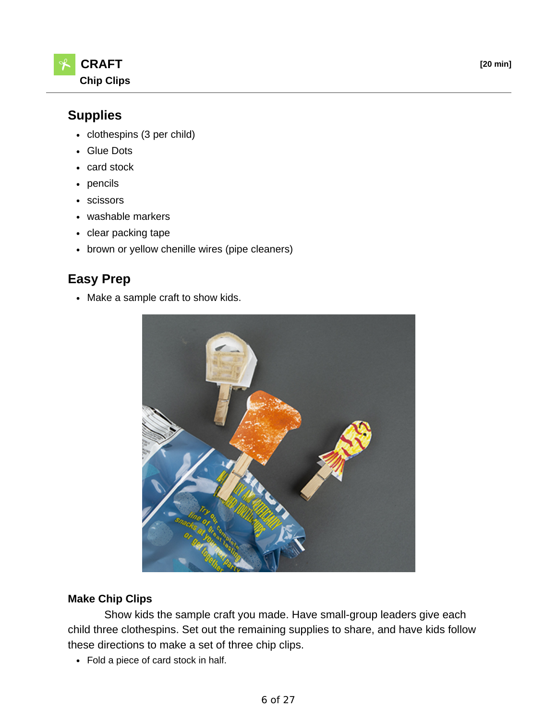

## **Supplies**

- clothespins (3 per child)
- Glue Dots
- card stock
- pencils
- scissors
- washable markers
- clear packing tape
- brown or yellow chenille wires (pipe cleaners)

## **Easy Prep**

• Make a sample craft to show kids.



## **Make Chip Clips**

 Show kids the sample craft you made. Have small-group leaders give each child three clothespins. Set out the remaining supplies to share, and have kids follow these directions to make a set of three chip clips.

Fold a piece of card stock in half.